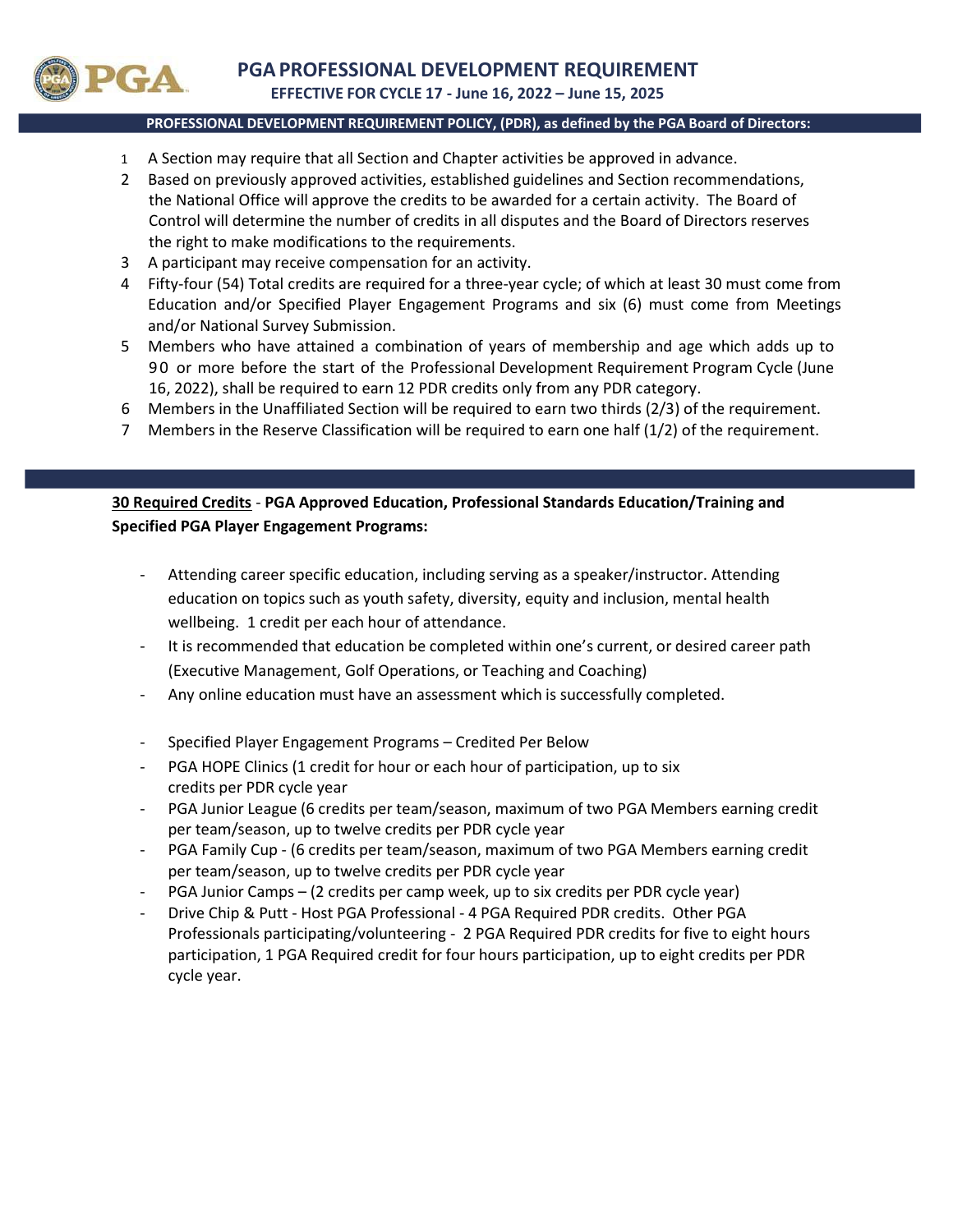

## PROFESSIONAL DEVELOPMENT REQUIREMENT POLICY, (PDR), as defined by the PGA Board of Directors:

- 1 A Section may require that all Section and Chapter activities be approved in advance.
- 2 Based on previously approved activities, established guidelines and Section recommendations, the National Office will approve the credits to be awarded for a certain activity. The Board of Control will determine the number of credits in all disputes and the Board of Directors reserves the right to make modifications to the requirements.
- 3 A participant may receive compensation for an activity.
- 4 Fifty‐four (54) Total credits are required for a three‐year cycle; of which at least 30 must come from Education and/or Specified Player Engagement Programs and six (6) must come from Meetings and/or National Survey Submission.
- 5 Members who have attained a combination of years of membership and age which adds up to 9 0 or more before the start of the Professional Development Requirement Program Cycle (June 16, 2022), shall be required to earn 12 PDR credits only from any PDR category.
- 6 Members in the Unaffiliated Section will be required to earn two thirds (2/3) of the requirement.
- 7 Members in the Reserve Classification will be required to earn one half (1/2) of the requirement.

## 30 Required Credits ‐ PGA Approved Education, Professional Standards Education/Training and Specified PGA Player Engagement Programs:

- ‐ Attending career specific education, including serving as a speaker/instructor. Attending education on topics such as youth safety, diversity, equity and inclusion, mental health wellbeing. 1 credit per each hour of attendance.
- It is recommended that education be completed within one's current, or desired career path (Executive Management, Golf Operations, or Teaching and Coaching)
- ‐ Any online education must have an assessment which is successfully completed.
- ‐ Specified Player Engagement Programs Credited Per Below
- ‐ PGA HOPE Clinics (1 credit for hour or each hour of participation, up to six credits per PDR cycle year
- PGA Junior League (6 credits per team/season, maximum of two PGA Members earning credit per team/season, up to twelve credits per PDR cycle year
- ‐ PGA Family Cup ‐ (6 credits per team/season, maximum of two PGA Members earning credit per team/season, up to twelve credits per PDR cycle year
- PGA Junior Camps (2 credits per camp week, up to six credits per PDR cycle year)
- ‐ Drive Chip & Putt ‐ Host PGA Professional ‐ 4 PGA Required PDR credits. Other PGA Professionals participating/volunteering ‐ 2 PGA Required PDR credits for five to eight hours participation, 1 PGA Required credit for four hours participation, up to eight credits per PDR cycle year.